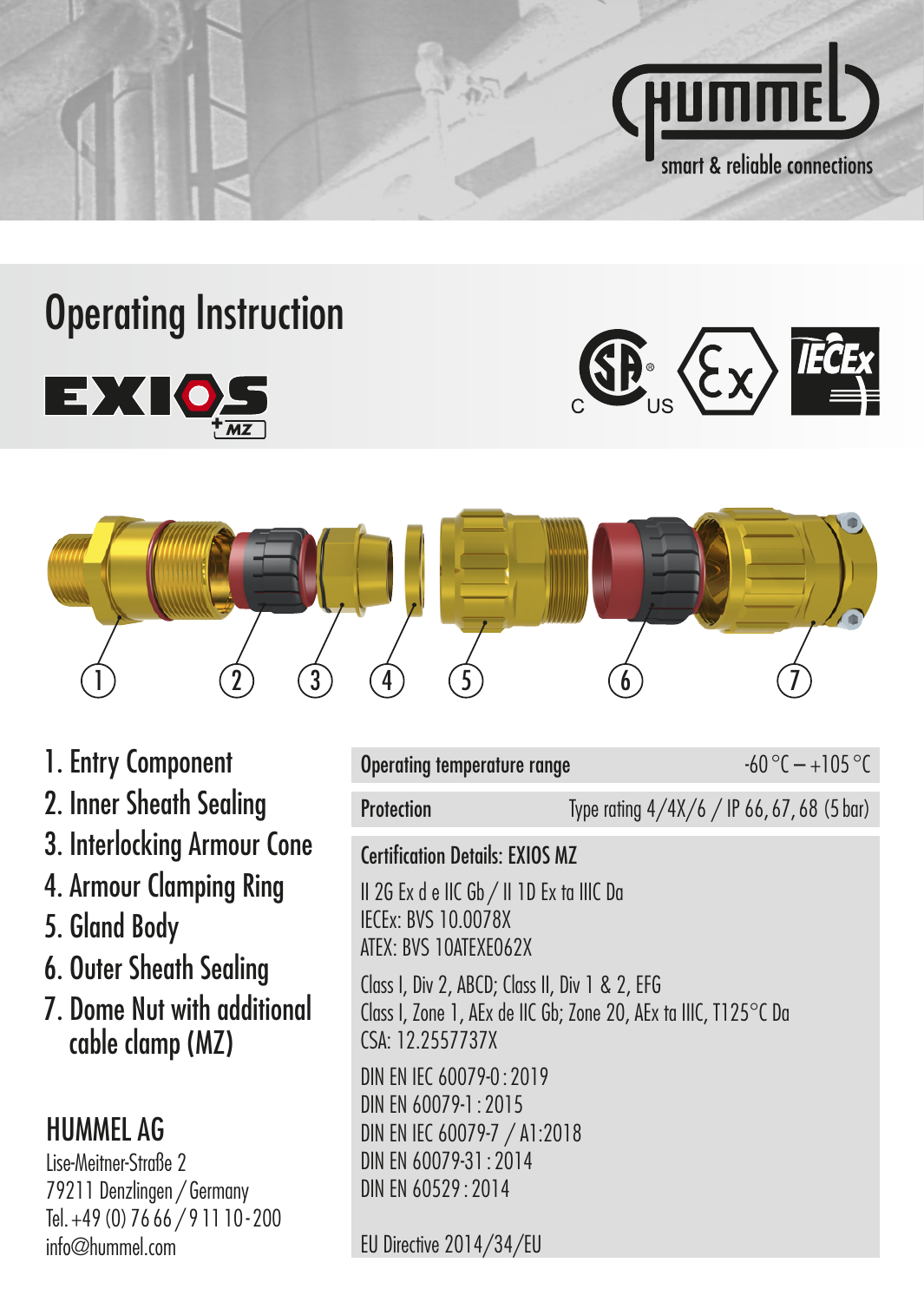

## Operating Instruction







- 1. Entry Component
- 2. Inner Sheath Sealing
- 3. Interlocking Armour Cone
- 4. Armour Clamping Ring
- 5. Gland Body
- 6. Outer Sheath Sealing
- 7. Dome Nut with additional cable clamp (MZ)

## HUMMEL AG

Lise-Meitner-Straße 2 79211 Denzlingen / Germany Tel. +49 (0) 76 66 / 9 11 10 - 200 info@hummel.com

| Operating temperature range                                                                                                                     |                                            | $-60^{\circ}$ C $-+105^{\circ}$ C |
|-------------------------------------------------------------------------------------------------------------------------------------------------|--------------------------------------------|-----------------------------------|
| <b>Protection</b>                                                                                                                               | Type rating 4/4X/6 / IP 66, 67, 68 (5 bar) |                                   |
| Certification Details: FXIOS M7                                                                                                                 |                                            |                                   |
| II 2G Ex d e IIC Gb / II 1D Ex ta IIIC Da<br>IFCFx: RVS 10 0078X<br>ATEX: BVS 10ATEXE062X                                                       |                                            |                                   |
| Class I, Div 2, ABCD; Class II, Div 1 & 2, EFG<br>Class I, Zone 1, AEx de IIC Gb; Zone 20, AEx ta IIIC, $1125^{\circ}$ C Da<br>CSA: 12.2557737X |                                            |                                   |
| DIN FN IFC 60079-0 $\cdot$ 2019<br>DIN EN 60079-1:2015<br>DIN EN IEC 60079-7 / A1:2018<br>DIN FN 60079-31 $\cdot$ 2014<br>DIN EN 60529:2014     |                                            |                                   |
| EU Directive 2014/34/EU                                                                                                                         |                                            |                                   |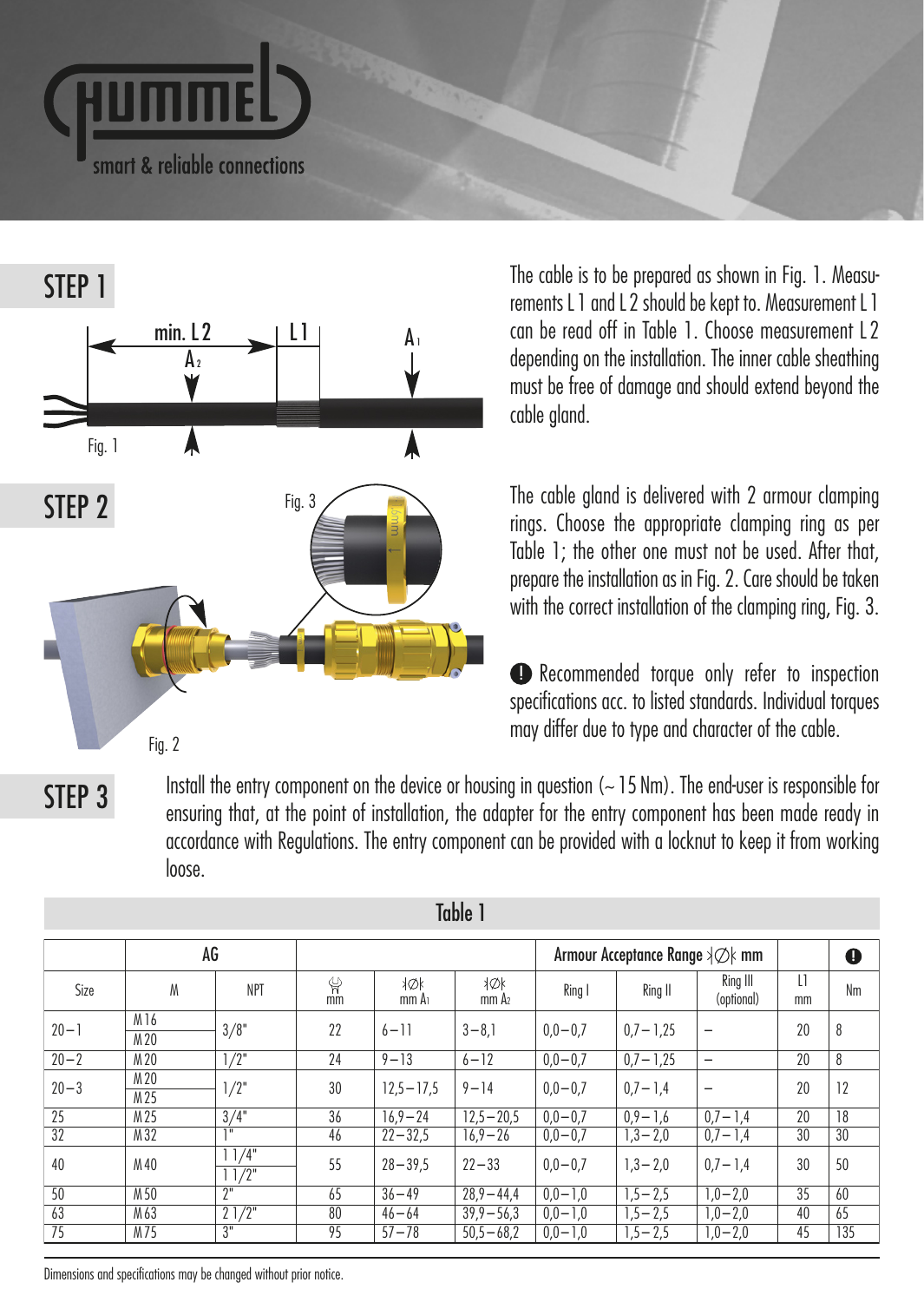



The cable is to be prepared as shown in Fig. 1. Measurements L 1 and L 2 should be kept to. Measurement L 1 can be read off in Table 1. Choose measurement L 2 depending on the installation. The inner cable sheathing must be free of damage and should extend beyond the cable gland.

The cable gland is delivered with 2 armour clamping rings. Choose the appropriate clamping ring as per Table 1; the other one must not be used. After that, prepare the installation as in Fig. 2. Care should be taken with the correct installation of the clamping ring, Fig. 3.

Recommended torque only refer to inspection ! specifications acc. to listed standards. Individual torques may differ due to type and character of the cable.

STEP 3

Install the entry component on the device or housing in question ( $\sim$  15 Nm). The end-user is responsible for ensuring that, at the point of installation, the adapter for the entry component has been made ready in accordance with Regulations. The entry component can be provided with a locknut to keep it from working loose.

|          | AG           |                              |         |               |                                 | Armour Acceptance Range ≯⊘k mm |              | O                      |                    |     |
|----------|--------------|------------------------------|---------|---------------|---------------------------------|--------------------------------|--------------|------------------------|--------------------|-----|
| Size     | М            | <b>NPT</b>                   | ψ<br>mm | N⊘k<br>mm A   | <b>XOK</b><br>mm A <sub>2</sub> | Ring I                         | Ring II      | Ring III<br>(optional) | $\mathbf{1}$<br>mm | Nm  |
| $20 - 1$ | M16<br>M 20  | 3/8"                         | 22      | $6 - 11$      | $3 - 8,1$                       | $0,0 - 0,7$                    | $0.7 - 1.25$ | -                      | 20                 | 8   |
| $20 - 2$ | M 20         | 1/2"                         | 24      | $9 - 13$      | $6 - 12$                        | $0.0 - 0.7$                    | $0.7 - 1.25$ | -                      | 20                 | 8   |
| $20 - 3$ | M 20<br>M 25 | 1/2"                         | 30      | $12.5 - 17.5$ | $9 - 14$                        | $0.0 - 0.7$                    | $0.7 - 1.4$  | -                      | 20                 | 12  |
| 25       | M 25         | 3/4"                         | 36      | $16.9 - 24$   | $12.5 - 20.5$                   | $0.0 - 0.7$                    | $0.9 - 1.6$  | $0.7 - 1.4$            | 20                 | 18  |
| 32       | M 32         | 38                           | 46      | $22 - 32.5$   | $16.9 - 26$                     | $0,0 - 0,7$                    | $1,3 - 2,0$  | $0,7 - 1,4$            | 30                 | 30  |
| 40       | M 40         | 11/4"<br>$11/2$ <sup>*</sup> | 55      | $28 - 39.5$   | $77 - 33$                       | $0.0 - 0.7$                    | $1.3 - 2.0$  | $0.7 - 1.4$            | 30                 | 50  |
| 50       | M 50         | $2^{\circ}$                  | 65      | $36 - 49$     | $28.9 - 44.4$                   | $0.0 - 1.0$                    | $1.5 - 2.5$  | $1,0-2,0$              | 35                 | 60  |
| 63       | M 63         | 21/2"                        | 80      | $46 - 64$     | $39.9 - 56.3$                   | $0.0 - 1.0$                    | $1,5 - 2,5$  | $1.0 - 2.0$            | 40                 | 65  |
| 75       | M75          | $\overline{3}$               | 95      | $57 - 78$     | $50.5 - 68.2$                   | $0,0 - 1,0$                    | $1,5 - 2,5$  | $1,0-2,0$              | 45                 | 135 |

Table 1

Dimensions and specifications may be changed without prior notice.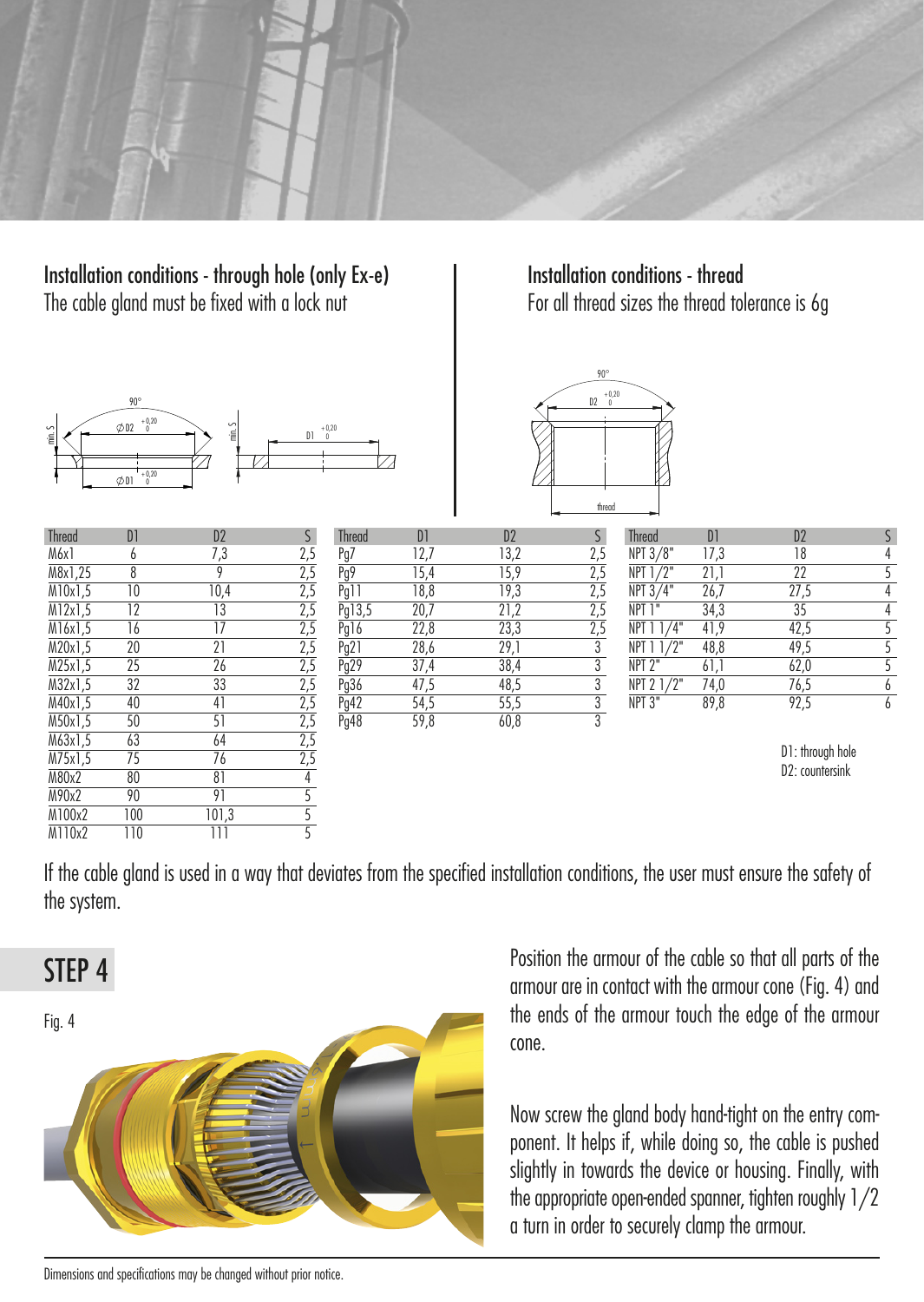

Installation conditions - through hole (only Ex-e) The cable gland must be fixed with a lock nut



| <b>Thread</b>               | D1               | D <sub>2</sub>  | S                                                                                                                                                                                                                                                                                                                                 |
|-----------------------------|------------------|-----------------|-----------------------------------------------------------------------------------------------------------------------------------------------------------------------------------------------------------------------------------------------------------------------------------------------------------------------------------|
| M6x1                        | 6                | 7,3             |                                                                                                                                                                                                                                                                                                                                   |
| M8x1.25                     | $\overline{8}$   | 9               |                                                                                                                                                                                                                                                                                                                                   |
| M10x1.5                     | 10               | 10,4            |                                                                                                                                                                                                                                                                                                                                   |
| M12x1.5                     | $\overline{12}$  | $\overline{13}$ |                                                                                                                                                                                                                                                                                                                                   |
| M16x1.5                     | 16               | $\overline{17}$ |                                                                                                                                                                                                                                                                                                                                   |
| M20x1,5                     | 20               | $\overline{21}$ |                                                                                                                                                                                                                                                                                                                                   |
| M25x1.5                     | $\overline{25}$  | $\overline{26}$ |                                                                                                                                                                                                                                                                                                                                   |
| M32x1.5                     | $\overline{32}$  | $\overline{33}$ |                                                                                                                                                                                                                                                                                                                                   |
| M40x1.5                     | 40               | 41              |                                                                                                                                                                                                                                                                                                                                   |
| M50x1.5                     | 50               | 51              |                                                                                                                                                                                                                                                                                                                                   |
| $\overline{\text{M63x1,5}}$ | 63               | 64              |                                                                                                                                                                                                                                                                                                                                   |
| M75x1,5                     | $\overline{75}$  | 76              |                                                                                                                                                                                                                                                                                                                                   |
| M80x2                       | 80               | 81              |                                                                                                                                                                                                                                                                                                                                   |
| M90x2                       | 90               | 91              |                                                                                                                                                                                                                                                                                                                                   |
| M100x2                      | 100              | 101,3           | $\frac{2,5}{2,5} \frac{2,5}{2,5} \frac{2,5}{2,5} \frac{2,5}{2,5} \frac{2,5}{2,5} \frac{2,5}{2,5} \frac{2,5}{2,5} \frac{2,5}{2,5} \frac{2,5}{2,5} \frac{2,5}{2,5} \frac{2,5}{2,5} \frac{2,5}{2,5} \frac{2,5}{2,5} \frac{2,5}{2,5} \frac{2,5}{2,5} \frac{2,5}{2,5} \frac{2,5}{2,5} \frac{2,5}{2,5} \frac{2,5}{2,5} \frac{2,5}{2,5}$ |
| M110x2                      | $\overline{110}$ | Ш               |                                                                                                                                                                                                                                                                                                                                   |

Installation conditions - thread For all thread sizes the thread tolerance is 6g



| Thread  | D1              | D <sub>2</sub> |     | Thread | D    | D <sub>2</sub> |     | Thread             | D1   | D <sub>2</sub> |  |
|---------|-----------------|----------------|-----|--------|------|----------------|-----|--------------------|------|----------------|--|
| M6x1    |                 |                | 2,5 | Pg7    | 12,7 | 13,2           | 2,5 | NPT 3/8"           | 17,3 | 18             |  |
| M8x1,25 |                 |                | 2,5 | Pg9    | 15,4 | 15,9           | 2,5 | NPT 1/2"           | 21,1 | 22             |  |
| M10x1,5 | 10              | 10,4           | 2,5 | Pg11   | 18,8 | 19,3           | 2,5 | NPT 3/4"           | 26,7 | 27,5           |  |
| M12x1,5 | 12              | 13             | 2,5 | Pg13,5 | 20,7 | 21,2           | 2,5 | NPT 1"             | 34,3 | 35             |  |
| M16x1,5 | 16              |                | 2,5 | Pg16   | 22,8 | 23,3           |     | NPT 1 1/4"         | 41,9 | 42,5           |  |
| M20x1,5 | 20              | n 1            | 2,5 | Pg21   | 28,6 | 29,1           |     | $NPT$ $11/2$ "     | 48,8 | 49,5           |  |
| M25x1,5 | 25              | 26             | 2,5 | Pg29   | 37,4 | 38,4           |     | NPT <sub>2</sub> " | 61,1 | 62,0           |  |
| M32x1,5 | 32              | 33             | 2,5 | Pg36   | 47,5 | 48,5           |     | NPT 2 1/2"         | 74,0 | 76,5           |  |
| M40x1,5 | 40              | 41             | 2,5 | Pg42   | 54,5 | 55,5           |     | NPT <sub>3</sub> " | 89,8 | 92,5           |  |
| M50x1,5 | 50              |                | 2,5 | Pg48   | 59,8 | 60,8           |     |                    |      |                |  |
| M22.1E  | $\overline{12}$ |                | 25  |        |      |                |     |                    |      |                |  |

D1: through hole D2: countersink

If the cable gland is used in a way that deviates from the specified installation conditions, the user must ensure the safety of the system.





Position the armour of the cable so that all parts of the armour are in contact with the armour cone (Fig. 4) and the ends of the armour touch the edge of the armour cone.

Now screw the gland body hand-tight on the entry component. It helps if, while doing so, the cable is pushed slightly in towards the device or housing. Finally, with the appropriate open-ended spanner, tighten roughly 1/2 a turn in order to securely clamp the armour.

Dimensions and specifications may be changed without prior notice.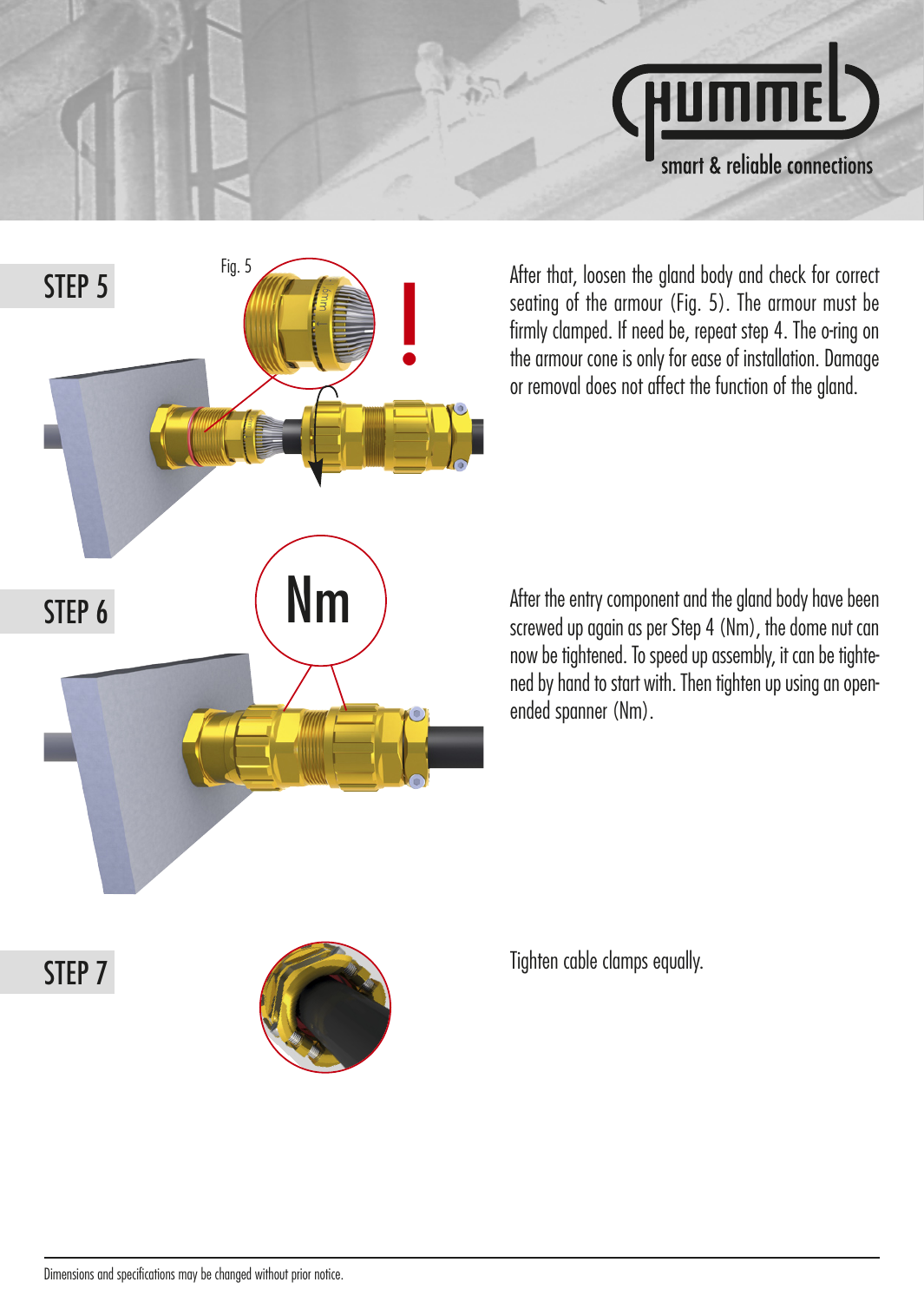



After that, loosen the gland body and check for correct seating of the armour (Fig. 5). The armour must be firmly clamped. If need be, repeat step 4. The o-ring on the armour cone is only for ease of installation. Damage or removal does not affect the function of the gland.

After the entry component and the gland body have been screwed up again as per Step 4 (Nm), the dome nut can now be tightened. To speed up assembly, it can be tightened by hand to start with. Then tighten up using an openended spanner (Nm).

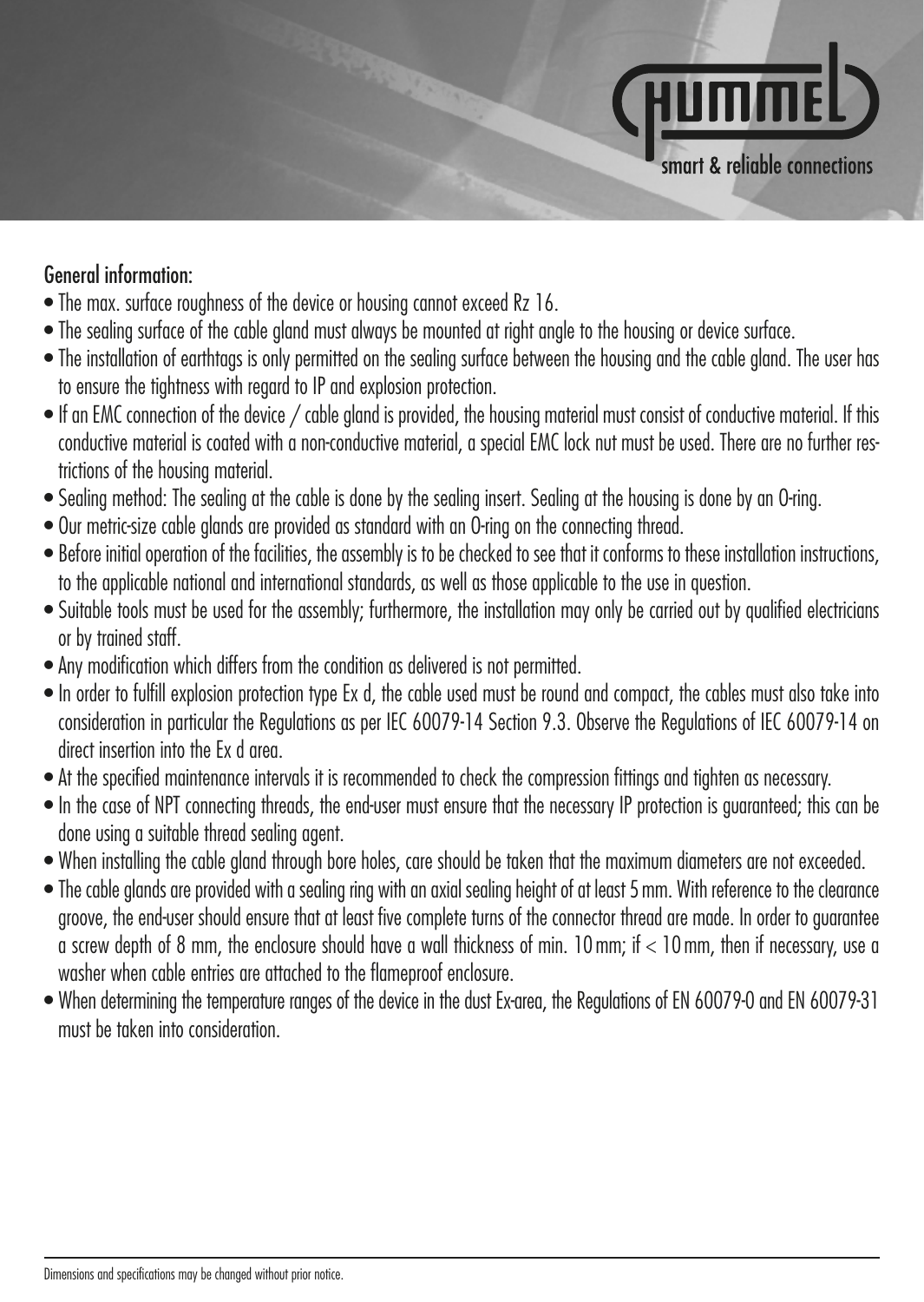

#### General information:

- The max. surface roughness of the device or housing cannot exceed Rz 16.
- The sealing surface of the cable gland must always be mounted at right angle to the housing or device surface.
- The installation of earthtags is only permitted on the sealing surface between the housing and the cable gland. The user has to ensure the tightness with regard to IP and explosion protection.
- If an EMC connection of the device / cable gland is provided, the housing material must consist of conductive material. If this conductive material is coated with a non-conductive material, a special EMC lock nut must be used. There are no further restrictions of the housing material.
- Sealing method: The sealing at the cable is done by the sealing insert. Sealing at the housing is done by an O-ring.
- Our metric-size cable glands are provided as standard with an O-ring on the connecting thread.
- Before initial operation of the facilities, the assembly is to be checked to see that it conforms to these installation instructions, to the applicable national and international standards, as well as those applicable to the use in question.
- Suitable tools must be used for the assembly; furthermore, the installation may only be carried out by qualified electricians or by trained staff.
- Any modification which differs from the condition as delivered is not permitted.
- In order to fulfill explosion protection type Ex d, the cable used must be round and compact, the cables must also take into consideration in particular the Regulations as per IEC 60079-14 Section 9.3. Observe the Regulations of IEC 60079-14 on direct insertion into the Ex d area.
- At the specified maintenance intervals it is recommended to check the compression fittings and tighten as necessary.
- In the case of NPT connecting threads, the end-user must ensure that the necessary IP protection is guaranteed; this can be done using a suitable thread sealing agent.
- When installing the cable gland through bore holes, care should be taken that the maximum diameters are not exceeded.
- The cable glands are provided with a sealing ring with an axial sealing height of at least 5 mm. With reference to the clearance groove, the end-user should ensure that at least five complete turns of the connector thread are made. In order to guarantee a screw depth of 8 mm, the enclosure should have a wall thickness of min. 10 mm; if < 10 mm, then if necessary, use a washer when cable entries are attached to the flameproof enclosure.
- When determining the temperature ranges of the device in the dust Ex-area, the Regulations of EN 60079-0 and EN 60079-31 must be taken into consideration.